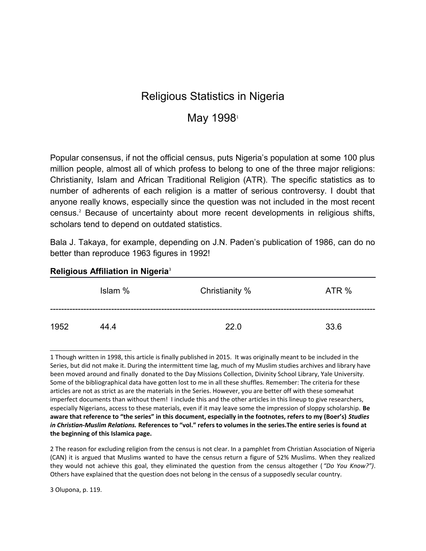# Religious Statistics in Nigeria

## May [1](#page-0-0)998<sup>1</sup>

Popular consensus, if not the official census, puts Nigeria's population at some 100 plus million people, almost all of which profess to belong to one of the three major religions: Christianity, Islam and African Traditional Religion (ATR). The specific statistics as to number of adherents of each religion is a matter of serious controversy. I doubt that anyone really knows, especially since the question was not included in the most recent census.<sup>[2](#page-0-1)</sup> Because of uncertainty about more recent developments in religious shifts, scholars tend to depend on outdated statistics.

Bala J. Takaya, for example, depending on J.N. Paden's publication of 1986, can do no better than reproduce 1963 figures in 1992!

| $\sim$<br>. .<br>- - -<br>$\overline{\phantom{a}}$<br>$\sim$ |         |                |       |  |
|--------------------------------------------------------------|---------|----------------|-------|--|
|                                                              | Islam % | Christianity % | ATR % |  |
| 1952                                                         | 44.4    | 22.0           | 33.6  |  |

#### **Religious Affiliation in Nigeria**[3](#page-0-2)

<span id="page-0-1"></span>2 The reason for excluding religion from the census is not clear. In a pamphlet from Christian Association of Nigeria (CAN) it is argued that Muslims wanted to have the census return a figure of 52% Muslims. When they realized they would not achieve this goal, they eliminated the question from the census altogether ( *"Do You Know?")*. Others have explained that the question does not belong in the census of a supposedly secular country.

<span id="page-0-2"></span>3 Olupona, p. 119.

<span id="page-0-0"></span><sup>1</sup> Though written in 1998, this article is finally published in 2015. It was originally meant to be included in the Series, but did not make it. During the intermittent time lag, much of my Muslim studies archives and library have been moved around and finally donated to the Day Missions Collection, Divinity School Library, Yale University. Some of the bibliographical data have gotten lost to me in all these shuffles. Remember: The criteria for these articles are not as strict as are the materials in the Series. However, you are better off with these somewhat imperfect documents than without them! I include this and the other articles in this lineup to give researchers, especially Nigerians, access to these materials, even if it may leave some the impression of sloppy scholarship. **Be aware that reference to "the series" in this document, especially in the footnotes, refers to my (Boer's)** *Studies in Christian-Muslim Relations.* **References to "vol." refers to volumes in the series.The entire series is found at the beginning of this Islamica page.**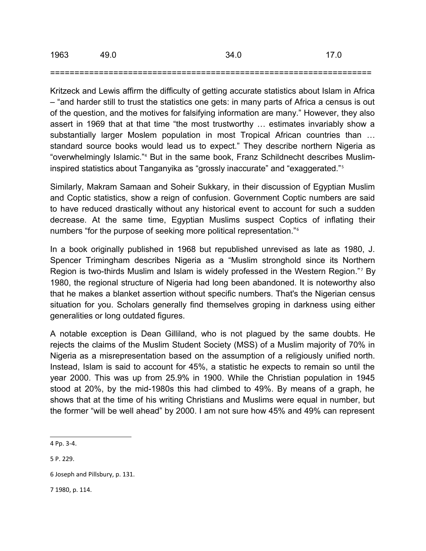| 1963 | 49.0 | 34.0 | 17.0 |
|------|------|------|------|
|      |      |      |      |

#### ==================================================================

Kritzeck and Lewis affirm the difficulty of getting accurate statistics about Islam in Africa – "and harder still to trust the statistics one gets: in many parts of Africa a census is out of the question, and the motives for falsifying information are many." However, they also assert in 1969 that at that time "the most trustworthy … estimates invariably show a substantially larger Moslem population in most Tropical African countries than … standard source books would lead us to expect." They describe northern Nigeria as "overwhelmingly Islamic."[4](#page-1-0) But in the same book, Franz Schildnecht describes Musliminspired statistics about Tanganyika as "grossly inaccurate" and "exaggerated."[5](#page-1-1)

Similarly, Makram Samaan and Soheir Sukkary, in their discussion of Egyptian Muslim and Coptic statistics, show a reign of confusion. Government Coptic numbers are said to have reduced drastically without any historical event to account for such a sudden decrease. At the same time, Egyptian Muslims suspect Coptics of inflating their numbers "for the purpose of seeking more political representation."[6](#page-1-2)

In a book originally published in 1968 but republished unrevised as late as 1980, J. Spencer Trimingham describes Nigeria as a "Muslim stronghold since its Northern Region is two-thirds Muslim and Islam is widely professed in the Western Region."<sup>[7](#page-1-3)</sup> By 1980, the regional structure of Nigeria had long been abandoned. It is noteworthy also that he makes a blanket assertion without specific numbers. That's the Nigerian census situation for you. Scholars generally find themselves groping in darkness using either generalities or long outdated figures.

A notable exception is Dean Gilliland, who is not plagued by the same doubts. He rejects the claims of the Muslim Student Society (MSS) of a Muslim majority of 70% in Nigeria as a misrepresentation based on the assumption of a religiously unified north. Instead, Islam is said to account for 45%, a statistic he expects to remain so until the year 2000. This was up from 25.9% in 1900. While the Christian population in 1945 stood at 20%, by the mid-1980s this had climbed to 49%. By means of a graph, he shows that at the time of his writing Christians and Muslims were equal in number, but the former "will be well ahead" by 2000. I am not sure how 45% and 49% can represent

<span id="page-1-3"></span>7 1980, p. 114.

<span id="page-1-0"></span><sup>4</sup> Pp. 3-4.

<span id="page-1-1"></span><sup>5</sup> P. 229.

<span id="page-1-2"></span><sup>6</sup> Joseph and Pillsbury, p. 131.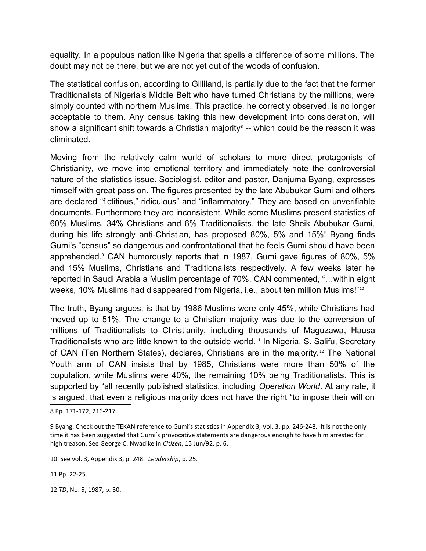equality. In a populous nation like Nigeria that spells a difference of some millions. The doubt may not be there, but we are not yet out of the woods of confusion.

The statistical confusion, according to Gilliland, is partially due to the fact that the former Traditionalists of Nigeria's Middle Belt who have turned Christians by the millions, were simply counted with northern Muslims. This practice, he correctly observed, is no longer acceptable to them. Any census taking this new development into consideration, will show a significant shift towards a Christian majority $^{\rm s}$  -- which could be the reason it was eliminated.

Moving from the relatively calm world of scholars to more direct protagonists of Christianity, we move into emotional territory and immediately note the controversial nature of the statistics issue. Sociologist, editor and pastor, Danjuma Byang, expresses himself with great passion. The figures presented by the late Abubukar Gumi and others are declared "fictitious," ridiculous" and "inflammatory." They are based on unverifiable documents. Furthermore they are inconsistent. While some Muslims present statistics of 60% Muslims, 34% Christians and 6% Traditionalists, the late Sheik Abubukar Gumi, during his life strongly anti-Christian, has proposed 80%, 5% and 15%! Byang finds Gumi's "census" so dangerous and confrontational that he feels Gumi should have been apprehended.[9](#page-2-1) CAN humorously reports that in 1987, Gumi gave figures of 80%, 5% and 15% Muslims, Christians and Traditionalists respectively. A few weeks later he reported in Saudi Arabia a Muslim percentage of 70%. CAN commented, "…within eight weeks, [10](#page-2-2)% Muslims had disappeared from Nigeria, i.e., about ten million Muslims!"<sup>10</sup>

The truth, Byang argues, is that by 1986 Muslims were only 45%, while Christians had moved up to 51%. The change to a Christian majority was due to the conversion of millions of Traditionalists to Christianity, including thousands of Maguzawa, Hausa Traditionalists who are little known to the outside world.<sup>[11](#page-2-3)</sup> In Nigeria, S. Salifu, Secretary of CAN (Ten Northern States), declares, Christians are in the majority.<sup>[12](#page-2-4)</sup> The National Youth arm of CAN insists that by 1985, Christians were more than 50% of the population, while Muslims were 40%, the remaining 10% being Traditionalists. This is supported by "all recently published statistics, including *Operation World*. At any rate, it is argued, that even a religious majority does not have the right "to impose their will on

<span id="page-2-2"></span>10 See vol. 3, Appendix 3, p. 248. *Leadership*, p. 25.

<span id="page-2-3"></span>11 Pp. 22-25.

<span id="page-2-4"></span>12 *TD*, No. 5, 1987, p. 30.

<span id="page-2-0"></span><sup>8</sup> Pp. 171-172, 216-217.

<span id="page-2-1"></span><sup>9</sup> Byang. Check out the TEKAN reference to Gumi's statistics in Appendix 3, Vol. 3, pp. 246-248. It is not the only time it has been suggested that Gumi's provocative statements are dangerous enough to have him arrested for high treason. See George C. Nwadike in *Citizen*, 15 Jun/92, p. 6.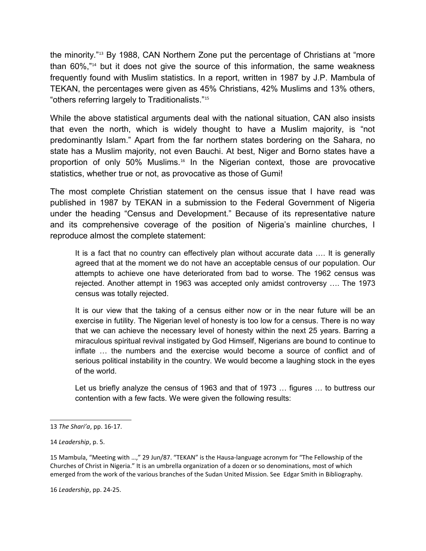the minority."[13](#page-3-0) By 1988, CAN Northern Zone put the percentage of Christians at "more than 60%,"[14](#page-3-1) but it does not give the source of this information, the same weakness frequently found with Muslim statistics. In a report, written in 1987 by J.P. Mambula of TEKAN, the percentages were given as 45% Christians, 42% Muslims and 13% others, "others referring largely to Traditionalists."[15](#page-3-2)

While the above statistical arguments deal with the national situation, CAN also insists that even the north, which is widely thought to have a Muslim majority, is "not predominantly Islam." Apart from the far northern states bordering on the Sahara, no state has a Muslim majority, not even Bauchi. At best, Niger and Borno states have a proportion of only 50% Muslims.[16](#page-3-3) In the Nigerian context, those are provocative statistics, whether true or not, as provocative as those of Gumi!

The most complete Christian statement on the census issue that I have read was published in 1987 by TEKAN in a submission to the Federal Government of Nigeria under the heading "Census and Development." Because of its representative nature and its comprehensive coverage of the position of Nigeria's mainline churches, I reproduce almost the complete statement:

It is a fact that no country can effectively plan without accurate data …. It is generally agreed that at the moment we do not have an acceptable census of our population. Our attempts to achieve one have deteriorated from bad to worse. The 1962 census was rejected. Another attempt in 1963 was accepted only amidst controversy …. The 1973 census was totally rejected.

It is our view that the taking of a census either now or in the near future will be an exercise in futility. The Nigerian level of honesty is too low for a census. There is no way that we can achieve the necessary level of honesty within the next 25 years. Barring a miraculous spiritual revival instigated by God Himself, Nigerians are bound to continue to inflate … the numbers and the exercise would become a source of conflict and of serious political instability in the country. We would become a laughing stock in the eyes of the world.

Let us briefly analyze the census of 1963 and that of 1973 … figures … to buttress our contention with a few facts. We were given the following results:

<span id="page-3-0"></span><sup>13</sup> *The Shari'a*, pp. 16-17.

<span id="page-3-1"></span><sup>14</sup> *Leadership*, p. 5.

<span id="page-3-3"></span><span id="page-3-2"></span><sup>15</sup> Mambula, "Meeting with …," 29 Jun/87. "TEKAN" is the Hausa-language acronym for "The Fellowship of the Churches of Christ in Nigeria." It is an umbrella organization of a dozen or so denominations, most of which emerged from the work of the various branches of the Sudan United Mission. See Edgar Smith in Bibliography.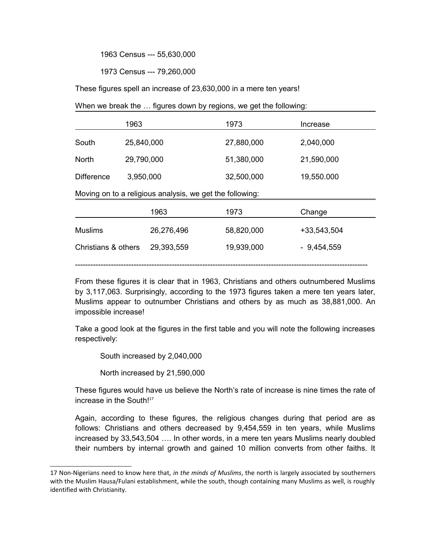1963 Census --- 55,630,000

1973 Census --- 79,260,000

These figures spell an increase of 23,630,000 in a mere ten years!

When we break the … figures down by regions, we get the following:

|                                                          | 1963       | 1973       | Increase     |  |  |  |
|----------------------------------------------------------|------------|------------|--------------|--|--|--|
| South                                                    | 25,840,000 | 27,880,000 | 2,040,000    |  |  |  |
| <b>North</b>                                             | 29,790,000 | 51,380,000 | 21,590,000   |  |  |  |
| <b>Difference</b>                                        | 3,950,000  | 32,500,000 | 19,550.000   |  |  |  |
| Moving on to a religious analysis, we get the following: |            |            |              |  |  |  |
|                                                          | 1963       | 1973       | Change       |  |  |  |
| <b>Muslims</b>                                           | 26,276,496 | 58,820,000 | +33,543,504  |  |  |  |
| Christians & others                                      | 29,393,559 | 19,939,000 | $-9,454,559$ |  |  |  |
|                                                          |            |            |              |  |  |  |

From these figures it is clear that in 1963, Christians and others outnumbered Muslims by 3,117,063. Surprisingly, according to the 1973 figures taken a mere ten years later, Muslims appear to outnumber Christians and others by as much as 38,881,000. An impossible increase!

Take a good look at the figures in the first table and you will note the following increases respectively:

South increased by 2,040,000

North increased by 21,590,000

These figures would have us believe the North's rate of increase is nine times the rate of increase in the South!<sup>[17](#page-4-0)</sup>

Again, according to these figures, the religious changes during that period are as follows: Christians and others decreased by 9,454,559 in ten years, while Muslims increased by 33,543,504 …. In other words, in a mere ten years Muslims nearly doubled their numbers by internal growth and gained 10 million converts from other faiths. It

<span id="page-4-0"></span><sup>17</sup> Non-Nigerians need to know here that, *in the minds of Muslims*, the north is largely associated by southerners with the Muslim Hausa/Fulani establishment, while the south, though containing many Muslims as well, is roughly identified with Christianity.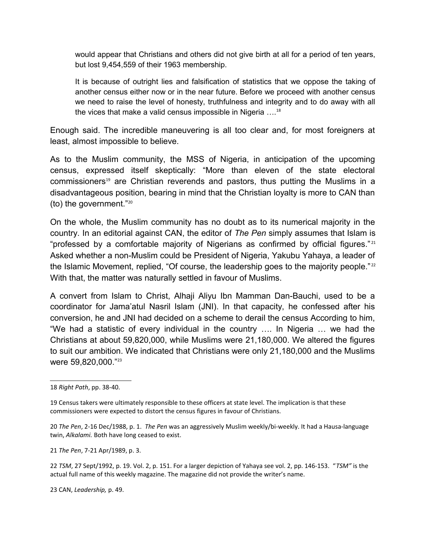would appear that Christians and others did not give birth at all for a period of ten years, but lost 9,454,559 of their 1963 membership.

It is because of outright lies and falsification of statistics that we oppose the taking of another census either now or in the near future. Before we proceed with another census we need to raise the level of honesty, truthfulness and integrity and to do away with all the vices that make a valid census impossible in Nigeria  $\ldots$ <sup>[18](#page-5-0)</sup>

Enough said. The incredible maneuvering is all too clear and, for most foreigners at least, almost impossible to believe.

As to the Muslim community, the MSS of Nigeria, in anticipation of the upcoming census, expressed itself skeptically: "More than eleven of the state electoral commissioners<sup>[19](#page-5-1)</sup> are Christian reverends and pastors, thus putting the Muslims in a disadvantageous position, bearing in mind that the Christian loyalty is more to CAN than (to) the government."[20](#page-5-2)

On the whole, the Muslim community has no doubt as to its numerical majority in the country. In an editorial against CAN, the editor of *The Pen* simply assumes that Islam is "professed by a comfortable majority of Nigerians as confirmed by official figures."<sup>[21](#page-5-3)</sup> Asked whether a non-Muslim could be President of Nigeria, Yakubu Yahaya, a leader of the Islamic Movement, replied, "Of course, the leadership goes to the majority people."<sup>[22](#page-5-4)</sup> With that, the matter was naturally settled in favour of Muslims.

A convert from Islam to Christ, Alhaji Aliyu Ibn Mamman Dan-Bauchi, used to be a coordinator for Jama'atul Nasril Islam (JNI). In that capacity, he confessed after his conversion, he and JNI had decided on a scheme to derail the census According to him, "We had a statistic of every individual in the country …. In Nigeria … we had the Christians at about 59,820,000, while Muslims were 21,180,000. We altered the figures to suit our ambition. We indicated that Christians were only 21,180,000 and the Muslims were 59,820,000."[23](#page-5-5)

<span id="page-5-3"></span>21 *The Pen*, 7-21 Apr/1989, p. 3.

<span id="page-5-4"></span>22 *TSM*, 27 Sept/1992, p. 19. Vol. 2, p. 151. For a larger depiction of Yahaya see vol. 2, pp. 146-153. "*TSM"* is the actual full name of this weekly magazine. The magazine did not provide the writer's name.

<span id="page-5-5"></span>23 CAN, *Leadership,* p. 49.

<span id="page-5-0"></span><sup>18</sup> *Right Path*, pp. 38-40.

<span id="page-5-1"></span><sup>19</sup> Census takers were ultimately responsible to these officers at state level. The implication is that these commissioners were expected to distort the census figures in favour of Christians.

<span id="page-5-2"></span><sup>20</sup> *The Pen*, 2-16 Dec/1988, p. 1. *The Pen* was an aggressively Muslim weekly/bi-weekly. It had a Hausa-language twin, *Alkalami.* Both have long ceased to exist.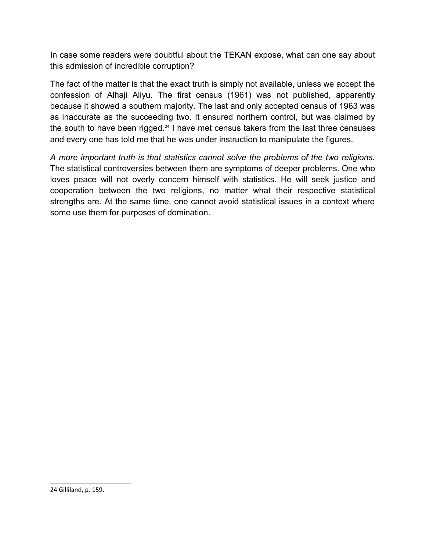In case some readers were doubtful about the TEKAN expose, what can one say about this admission of incredible corruption?

The fact of the matter is that the exact truth is simply not available, unless we accept the confession of Alhaji Aliyu. The first census (1961) was not published, apparently because it showed a southern majority. The last and only accepted census of 1963 was as inaccurate as the succeeding two. It ensured northern control, but was claimed by the south to have been rigged.<sup>[24](#page-6-0)</sup> I have met census takers from the last three censuses and every one has told me that he was under instruction to manipulate the figures.

<span id="page-6-0"></span>*A more important truth is that statistics cannot solve the problems of the two religions.* The statistical controversies between them are symptoms of deeper problems. One who loves peace will not overly concern himself with statistics. He will seek justice and cooperation between the two religions, no matter what their respective statistical strengths are. At the same time, one cannot avoid statistical issues in a context where some use them for purposes of domination.